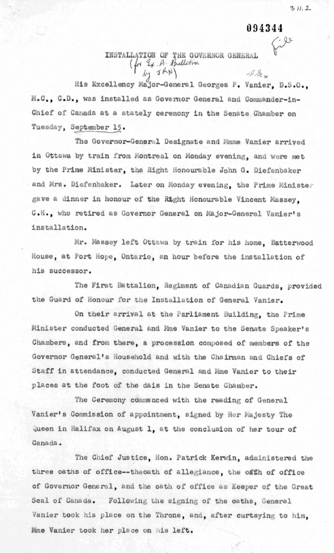094344

 $C.90$ 

## INSTALLATION OF THE GOVERNOR GENERAL  $\begin{pmatrix} f_{\text{rf}} & \frac{\beta_{\text{rf}}}{2} & \frac{\beta_{\text{rf}}}{2} \end{pmatrix}$  $M_{1}$  JAN  $\mathcal{R}_{\mathcal{A}}$

His Excellency Major-General Georges P. Vanier, D.S.O., M.C., C.D., was installed as Governor General and Commander-in-Chief of Canada at a stately ceremony in the Senate Chamber on Tuesday, September 15.

The Governor-General Designate and Mmme Vanier arrived in Ottawa by train from Montreal on Monday evening, and were met by the Prime Minister, the Right Honourable John G. Diefenbaker and Mrs. Diefenbaker. Later on Monday evening, the Prime Minister gave a dinner in honour of the Right Honourable Vincent Massey. C.H., who retired as Governor General on Major-General Vanier's installation.

Mr. Massey left Ottawa by train for his home. Batterwood House, at Port Hope, Ontario, an hour before the installation of his successor.

The First Battalion, Regiment of Canadian Guards, provided the Guard of Honour for the Installation of General Vanier.

On their arrival at the Parliament Building, the Prime Minister conducted General and Mme Vanier to the Senate Speaker's Chambers, and from there, a procession composed of members of the Governor General's Household and with the Chairman and Chiefs of Staff in attendance, conducted General and Mme Vanier to their places at the foot of the dais in the Senate Chamber.

The Ceremony commenced with the reading of General Vanier's Commission of appointment, signed by Her Majesty The Queen in Halifax on August 1, at the conclusion of her tour of Canada.

The Chief Justice, Hon. Patrick Kerwin, administered the three oaths of office--theoath of allegiance, the offh of office of Governor General, and the oath of office as Keeper of the Great Seal of Canada. Following the signing of the oaths, General Vanier took his place on the Throne, and, after curtsying to him. Mme Vanier took her place on his left.

 $311.2$